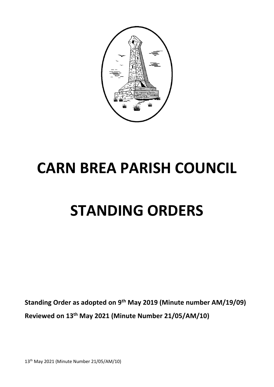

# **CARN BREA PARISH COUNCIL**

# **STANDING ORDERS**

**Standing Order as adopted on 9th May 2019 (Minute number AM/19/09) Reviewed on 13th May 2021 (Minute Number 21/05/AM/10)**

13th May 2021 (Minute Number 21/05/AM/10)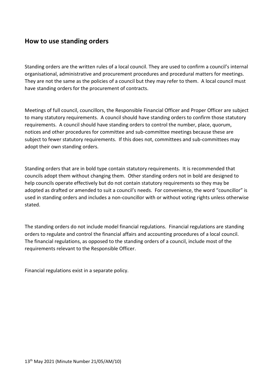### **How to use standing orders**

Standing orders are the written rules of a local council. They are used to confirm a council's internal organisational, administrative and procurement procedures and procedural matters for meetings. They are not the same as the policies of a council but they may refer to them. A local council must have standing orders for the procurement of contracts.

Meetings of full council, councillors, the Responsible Financial Officer and Proper Officer are subject to many statutory requirements. A council should have standing orders to confirm those statutory requirements. A council should have standing orders to control the number, place, quorum, notices and other procedures for committee and sub-committee meetings because these are subject to fewer statutory requirements. If this does not, committees and sub-committees may adopt their own standing orders.

Standing orders that are in bold type contain statutory requirements. It is recommended that councils adopt them without changing them. Other standing orders not in bold are designed to help councils operate effectively but do not contain statutory requirements so they may be adopted as drafted or amended to suit a council's needs. For convenience, the word "councillor" is used in standing orders and includes a non-councillor with or without voting rights unless otherwise stated.

The standing orders do not include model financial regulations. Financial regulations are standing orders to regulate and control the financial affairs and accounting procedures of a local council. The financial regulations, as opposed to the standing orders of a council, include most of the requirements relevant to the Responsible Officer.

Financial regulations exist in a separate policy.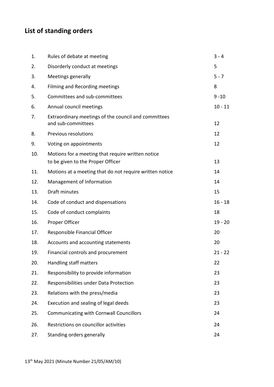# **List of standing orders**

| 1.  | Rules of debate at meeting                                                             | $3 - 4$   |
|-----|----------------------------------------------------------------------------------------|-----------|
| 2.  | Disorderly conduct at meetings                                                         | 5         |
| 3.  | Meetings generally                                                                     | $5 - 7$   |
| 4.  | Filming and Recording meetings                                                         | 8         |
| 5.  | Committees and sub-committees                                                          | $9 - 10$  |
| 6.  | Annual council meetings                                                                | $10 - 11$ |
| 7.  | Extraordinary meetings of the council and committees<br>and sub-committees             | 12        |
| 8.  | <b>Previous resolutions</b>                                                            | 12        |
| 9.  | Voting on appointments                                                                 | 12        |
| 10. | Motions for a meeting that require written notice<br>to be given to the Proper Officer | 13        |
| 11. | Motions at a meeting that do not require written notice                                | 14        |
| 12. | Management of Information                                                              | 14        |
| 13. | Draft minutes                                                                          | 15        |
| 14. | Code of conduct and dispensations                                                      | $16 - 18$ |
| 15. | Code of conduct complaints                                                             | 18        |
| 16. | Proper Officer                                                                         | $19 - 20$ |
| 17. | Responsible Financial Officer                                                          | 20        |
| 18. | Accounts and accounting statements                                                     | 20        |
| 19. | Financial controls and procurement                                                     | $21 - 22$ |
| 20. | Handling staff matters                                                                 | 22        |
| 21. | Responsibility to provide information                                                  | 23        |
| 22. | Responsibilities under Data Protection                                                 | 23        |
| 23. | Relations with the press/media                                                         | 23        |
| 24. | Execution and sealing of legal deeds                                                   | 23        |
| 25. | <b>Communicating with Cornwall Councillors</b>                                         | 24        |
| 26. | Restrictions on councillor activities                                                  | 24        |
| 27. | Standing orders generally                                                              | 24        |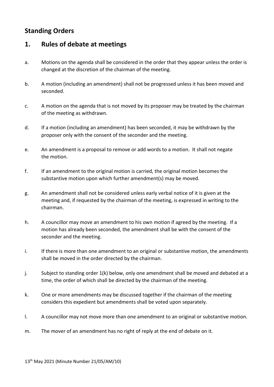# **Standing Orders**

# **1. Rules of debate at meetings**

- a. Motions on the agenda shall be considered in the order that they appear unless the order is changed at the discretion of the chairman of the meeting.
- b. A motion (including an amendment) shall not be progressed unless it has been moved and seconded.
- c. A motion on the agenda that is not moved by its proposer may be treated by the chairman of the meeting as withdrawn.
- d. If a motion (including an amendment) has been seconded, it may be withdrawn by the proposer only with the consent of the seconder and the meeting.
- e. An amendment is a proposal to remove or add words to a motion. It shall not negate the motion.
- f. If an amendment to the original motion is carried, the original motion becomes the substantive motion upon which further amendment(s) may be moved.
- g. An amendment shall not be considered unless early verbal notice of it is given at the meeting and, if requested by the chairman of the meeting, is expressed in writing to the chairman.
- h. A councillor may move an amendment to his own motion if agreed by the meeting. If a motion has already been seconded, the amendment shall be with the consent of the seconder and the meeting.
- i. If there is more than one amendment to an original or substantive motion, the amendments shall be moved in the order directed by the chairman.
- j. Subject to standing order 1(k) below, only one amendment shall be moved and debated at a time, the order of which shall be directed by the chairman of the meeting.
- k. One or more amendments may be discussed together if the chairman of the meeting considers this expedient but amendments shall be voted upon separately.
- l. A councillor may not move more than one amendment to an original or substantive motion.
- m. The mover of an amendment has no right of reply at the end of debate on it.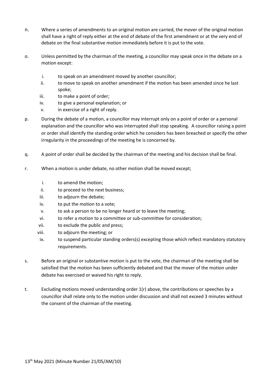- n. Where a series of amendments to an original motion are carried, the mover of the original motion shall have a right of reply either at the end of debate of the first amendment or at the very end of debate on the final substantive motion immediately before it is put to the vote.
- o. Unless permitted by the chairman of the meeting, a councillor may speak once in the debate on a motion except:
	- i. to speak on an amendment moved by another councillor;
	- ii. to move to speak on another amendment if the motion has been amended since he last spoke;
	- iii. to make a point of order;
	- iv. to give a personal explanation; or
	- v. in exercise of a right of reply.
- p. During the debate of a motion, a councillor may interrupt only on a point of order or a personal explanation and the councillor who was interrupted shall stop speaking. A councillor raising a point or order shall identify the standing order which he considers has been breached or specify the other irregularity in the proceedings of the meeting he is concerned by.
- q. A point of order shall be decided by the chairman of the meeting and his decision shall be final.
- r. When a motion is under debate, no other motion shall be moved except;
	- i. to amend the motion;
	- ii. to proceed to the next business;
	- iii. to adjourn the debate;
	- iv. to put the motion to a vote;
	- v. to ask a person to be no longer heard or to leave the meeting;
	- vi. to refer a motion to a committee or sub-committee for consideration;
	- vii. to exclude the public and press;
	- viii. to adjourn the meeting; or
	- ix. to suspend particular standing orders(s) excepting those which reflect mandatory statutory requirements.
- s. Before an original or substantive motion is put to the vote, the chairman of the meeting shall be satisfied that the motion has been sufficiently debated and that the mover of the motion under debate has exercised or waived his right to reply.
- t. Excluding motions moved understanding order 1(r) above, the contributions or speeches by a councillor shall relate only to the motion under discussion and shall not exceed 3 minutes without the consent of the chairman of the meeting.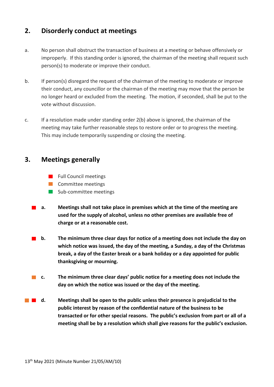## **2. Disorderly conduct at meetings**

- a. No person shall obstruct the transaction of business at a meeting or behave offensively or improperly. If this standing order is ignored, the chairman of the meeting shall request such person(s) to moderate or improve their conduct.
- b. If person(s) disregard the request of the chairman of the meeting to moderate or improve their conduct, any councillor or the chairman of the meeting may move that the person be no longer heard or excluded from the meeting. The motion, if seconded, shall be put to the vote without discussion.
- c. If a resolution made under standing order 2(b) above is ignored, the chairman of the meeting may take further reasonable steps to restore order or to progress the meeting. This may include temporarily suspending or closing the meeting.

## **3. Meetings generally**

- **Full Council meetings**
- **Committee meetings**
- Sub-committee meetings
- **a. Meetings shall not take place in premises which at the time of the meeting are used for the supply of alcohol, unless no other premises are available free of charge or at a reasonable cost.**
- **b.** The minimum three clear days for notice of a meeting does not include the day on **which notice was issued, the day of the meeting, a Sunday, a day of the Christmas break, a day of the Easter break or a bank holiday or a day appointed for public thanksgiving or mourning.**
- **c. The minimum three clear days' public notice for a meeting does not include the day on which the notice was issued or the day of the meeting.**
- **d. Meetings shall be open to the public unless their presence is prejudicial to the public interest by reason of the confidential nature of the business to be transacted or for other special reasons. The public's exclusion from part or all of a meeting shall be by a resolution which shall give reasons for the public's exclusion.**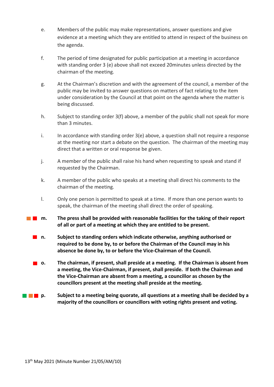- e. Members of the public may make representations, answer questions and give evidence at a meeting which they are entitled to attend in respect of the business on the agenda.
- f. The period of time designated for public participation at a meeting in accordance with standing order 3 (e) above shall not exceed 20minutes unless directed by the chairman of the meeting.
- g. At the Chairman's discretion and with the agreement of the council, a member of the public may be invited to answer questions on matters of fact relating to the item under consideration by the Council at that point on the agenda where the matter is being discussed.
- h. Subject to standing order 3(f) above, a member of the public shall not speak for more than 3 minutes.
- i. In accordance with standing order 3(e) above, a question shall not require a response at the meeting nor start a debate on the question. The chairman of the meeting may direct that a written or oral response be given.
- j. A member of the public shall raise his hand when requesting to speak and stand if requested by the Chairman.
- k. A member of the public who speaks at a meeting shall direct his comments to the chairman of the meeting.
- l. Only one person is permitted to speak at a time. If more than one person wants to speak, the chairman of the meeting shall direct the order of speaking.
- **n. The press shall be provided with reasonable facilities for the taking of their report of all or part of a meeting at which they are entitled to be present.** 
	- **n. Subject to standing orders which indicate otherwise, anything authorised or required to be done by, to or before the Chairman of the Council may in his absence be done by, to or before the Vice-Chairman of the Council.**
	- **o. The chairman, if present, shall preside at a meeting. If the Chairman is absent from a meeting, the Vice-Chairman, if present, shall preside. If both the Chairman and the Vice-Chairman are absent from a meeting, a councillor as chosen by the councillors present at the meeting shall preside at the meeting.**
- **p. p. Subject to a meeting being quorate, all questions at a meeting shall be decided by a majority of the councillors or councillors with voting rights present and voting.**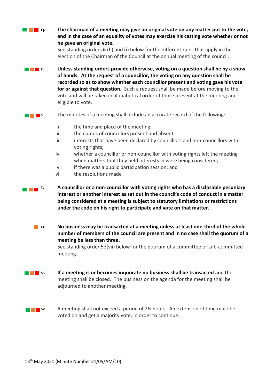**The Pairce of a meeting may give an original vote on any matter put to the vote, and in the case of an equality of votes may exercise his casting vote whether or not he gave an original vote.** 

> See standing orders 6 (h) and (i) below for the different rules that apply in the election of the Chairman of the Council at the annual meeting of the council.

- **r. Unless standing orders provide otherwise, voting on a question shall be by a show of hands. At the request of a councillor, the voting on any question shall be recorded so as to show whether each councillor present and voting gave his vote for or against that question.** Such a request shall be made before moving to the vote and will be taken in alphabetical order of those present at the meeting and eligible to vote.
- **SET 1** S. The minutes of a meeting shall include an accurate record of the following:
	- i. the time and place of the meeting;
	- ii. the names of councillors present and absent;
	- iii. interests that have been declared by councillors and non-councillors with voting rights;
	- iv. whether a councillor or non-councillor with voting rights left the meeting when matters that they held interests in were being considered;
	- v. if there was a public participation session; and
	- vi. the resolutions made
- **t. A** councillor or a non-councillor with voting rights who has a disclosable pecuniary **interest or another interest as set out in the council's code of conduct in a matter being considered at a meeting is subject to statutory limitations or restrictions under the code on his right to participate and vote on that matter.** 
	- **u. No business may be transacted at a meeting unless at least one-third of the whole number of members of the council are present and in no case shall the quorum of a meeting be less than three.**

See standing order 5d(vii) below for the quorum of a committee or sub-committee meeting.

- **v. If a meeting is or becomes inquorate no business shall be transacted** and the meeting shall be closed. The business on the agenda for the meeting shall be adjourned to another meeting.
- $\blacksquare$  w. A meeting shall not exceed a period of 2% hours. An extension of time must be voted on and get a majority vote, in order to continue.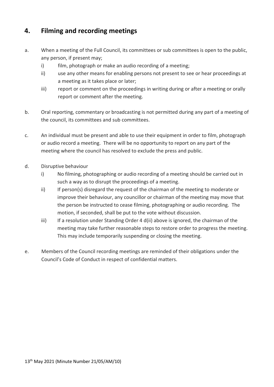# **4. Filming and recording meetings**

- a. When a meeting of the Full Council, its committees or sub committees is open to the public, any person, if present may;
	- i) film, photograph or make an audio recording of a meeting;
	- ii) use any other means for enabling persons not present to see or hear proceedings at a meeting as it takes place or later;
	- iii) report or comment on the proceedings in writing during or after a meeting or orally report or comment after the meeting.
- b. Oral reporting, commentary or broadcasting is not permitted during any part of a meeting of the council, its committees and sub committees.
- c. An individual must be present and able to use their equipment in order to film, photograph or audio record a meeting. There will be no opportunity to report on any part of the meeting where the council has resolved to exclude the press and public.
- d. Disruptive behaviour
	- i) No filming, photographing or audio recording of a meeting should be carried out in such a way as to disrupt the proceedings of a meeting.
	- ii) If person(s) disregard the request of the chairman of the meeting to moderate or improve their behaviour, any councillor or chairman of the meeting may move that the person be instructed to cease filming, photographing or audio recording. The motion, if seconded, shall be put to the vote without discussion.
	- iii) If a resolution under Standing Order 4 d(ii) above is ignored, the chairman of the meeting may take further reasonable steps to restore order to progress the meeting. This may include temporarily suspending or closing the meeting.
- e. Members of the Council recording meetings are reminded of their obligations under the Council's Code of Conduct in respect of confidential matters.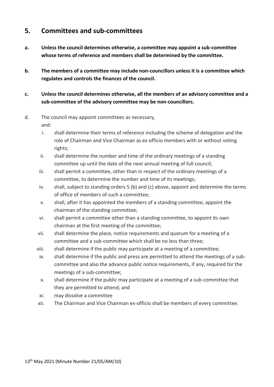## **5. Committees and sub-committees**

- **a. Unless the council determines otherwise, a committee may appoint a sub-committee whose terms of reference and members shall be determined by the committee.**
- **b. The members of a committee may include non-councillors unless it is a committee which regulates and controls the finances of the council.**
- **c. Unless the council determines otherwise, all the members of an advisory committee and a sub-committee of the advisory committee may be non-councillors.**

#### d. The council may appoint committees as necessary, and:

- i. shall determine their terms of reference including the scheme of delegation and the role of Chairman and Vice Chairman as ex officio members with or without voting rights;
- ii. shall determine the number and time of the ordinary meetings of a standing committee up until the date of the next annual meeting of full council;
- iii. shall permit a committee, other than in respect of the ordinary meetings of a committee, to determine the number and time of its meetings;
- iv. shall, subject to standing orders 5 (b) and (c) above, appoint and determine the terms of office of members of such a committee;
- v. shall, after it has appointed the members of a standing committee, appoint the chairman of the standing committee;
- vi. shall permit a committee other than a standing committee, to appoint its own chairman at the first meeting of the committee;
- vii. shall determine the place, notice requirements and quorum for a meeting of a committee and a sub-committee which shall be no less than three;
- viii. shall determine if the public may participate at a meeting of a committee;
- ix. shall determine if the public and press are permitted to attend the meetings of a subcommittee and also the advance public notice requirements, if any, required for the meetings of a sub-committee;
- x. shall determine if the public may participate at a meeting of a sub-committee that they are permitted to attend; and
- xi. may dissolve a committee
- xii. The Chairman and Vice Chairman ex-officio shall be members of every committee.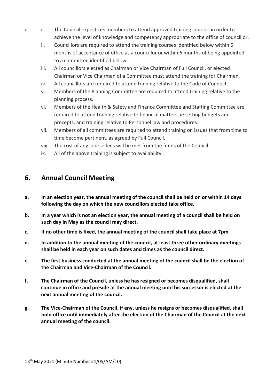- e. i. The Council expects its members to attend approved training courses in order to achieve the level of knowledge and competency appropriate to the office of councillor.
	- ii. Councillors are required to attend the training courses identified below within 6 months of acceptance of office as a councillor or within 6 months of being appointed to a committee identified below.
	- iii. All councillors elected as Chairman or Vice Chairman of Full Council, or elected Chairman or Vice Chairman of a Committee must attend the training for Chairmen.
	- iv. All councillors are required to attend training relative to the Code of Conduct.
	- v. Members of the Planning Committee are required to attend training relative to the planning process.
	- vi. Members of the Health & Safety and Finance Committee and Staffing Committee are required to attend training relative to financial matters, ie setting budgets and precepts, and training relative to Personnel law and procedures.
	- vii. Members of all committees are required to attend training on issues that from time to time become pertinent, as agreed by Full Council.
	- viii. The cost of any course fees will be met from the funds of the Council.
	- ix. All of the above training is subject to availability.

## **6. Annual Council Meeting**

- **a. In an election year, the annual meeting of the council shall be held on or within 14 days following the day on which the new councillors elected take office.**
- **b. In a year which is not an election year, the annual meeting of a council shall be held on such day in May as the council may direct.**
- **c. If no other time is fixed, the annual meeting of the council shall take place at 7pm.**
- **d. In addition to the annual meeting of the council, at least three other ordinary meetings shall be held in each year on such dates and times as the council direct.**
- **e. The first business conducted at the annual meeting of the council shall be the election of the Chairman and Vice-Chairman of the Council.**
- **f. The Chairman of the Council, unless he has resigned or becomes disqualified, shall continue in office and preside at the annual meeting until his successor is elected at the next annual meeting of the council.**
- **g. The Vice-Chairman of the Council, if any, unless he resigns or becomes disqualified, shall hold office until immediately after the election of the Chairman of the Council at the next annual meeting of the council.**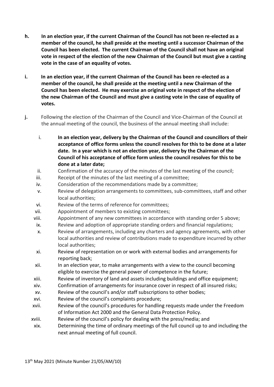- **h. In an election year, if the current Chairman of the Council has not been re-elected as a member of the council, he shall preside at the meeting until a successor Chairman of the Council has been elected. The current Chairman of the Council shall not have an original vote in respect of the election of the new Chairman of the Council but must give a casting vote in the case of an equality of votes.**
- **i. In an election year, if the current Chairman of the Council has been re-elected as a member of the council, he shall preside at the meeting until a new Chairman of the Council has been elected. He may exercise an original vote in respect of the election of the new Chairman of the Council and must give a casting vote in the case of equality of votes.**
- **j.** Following the election of the Chairman of the Council and Vice-Chairman of the Council at the annual meeting of the council, the business of the annual meeting shall include:
	- i. **In an election year, delivery by the Chairman of the Council and councillors of their acceptance of office forms unless the council resolves for this to be done at a later date. In a year which is not an election year, delivery by the Chairman of the Council of his acceptance of office form unless the council resolves for this to be done at a later date;**
	- ii. Confirmation of the accuracy of the minutes of the last meeting of the council;
	- iii. Receipt of the minutes of the last meeting of a committee;
	- iv. Consideration of the recommendations made by a committee;
	- v. Review of delegation arrangements to committees, sub-committees, staff and other local authorities;
	- vi. Review of the terms of reference for committees;
	- vii. Appointment of members to existing committees;
	- viii. Appointment of any new committees in accordance with standing order 5 above;
	- ix. Review and adoption of appropriate standing orders and financial regulations;
	- x. Review of arrangements, including any charters and agency agreements, with other local authorities and review of contributions made to expenditure incurred by other local authorities;
	- xi. Review of representation on or work with external bodies and arrangements for reporting back;
	- xii. In an election year, to make arrangements with a view to the council becoming eligible to exercise the general power of competence in the future;
	- xiii. Review of inventory of land and assets including buildings and office equipment;
	- xiv. Confirmation of arrangements for insurance cover in respect of all insured risks;
	- xv. Review of the council's and/or staff subscriptions to other bodies;
	- xvi. Review of the council's complaints procedure;
	- xvii. Review of the council's procedures for handling requests made under the Freedom of Information Act 2000 and the General Data Protection Policy.
	- xviii. Review of the council's policy for dealing with the press/media; and
	- xix. Determining the time of ordinary meetings of the full council up to and including the next annual meeting of full council.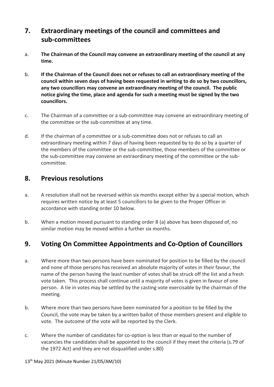# **7. Extraordinary meetings of the council and committees and sub-committees**

- a. **The Chairman of the Council may convene an extraordinary meeting of the council at any time.**
- b. **If the Chairman of the Council does not or refuses to call an extraordinary meeting of the council within seven days of having been requested in writing to do so by two councillors, any two councillors may convene an extraordinary meeting of the council. The public notice giving the time, place and agenda for such a meeting must be signed by the two councillors.**
- c. The Chairman of a committee or a sub-committee may convene an extraordinary meeting of the committee or the sub-committee at any time.
- d. If the chairman of a committee or a sub-committee does not or refuses to call an extraordinary meeting within 7 days of having been requested by to do so by a quarter of the members of the committee or the sub-committee, those members of the committee or the sub-committee may convene an extraordinary meeting of the committee or the subcommittee.

### **8. Previous resolutions**

- a. A resolution shall not be reversed within six months except either by a special motion, which requires written notice by at least 5 councillors to be given to the Proper Officer in accordance with standing order 10 below.
- b. When a motion moved pursuant to standing order 8 (a) above has been disposed of, no similar motion may be moved within a further six months.

## **9. Voting On Committee Appointments and Co-Option of Councillors**

- a. Where more than two persons have been nominated for position to be filled by the council and none of those persons has received an absolute majority of votes in their favour, the name of the person having the least number of votes shall be struck off the list and a fresh vote taken. This process shall continue until a majority of votes is given in favour of one person. A tie in votes may be settled by the casting vote exercisable by the chairman of the meeting.
- b. Where more than two persons have been nominated for a position to be filled by the Council, the vote may be taken by a written ballot of those members present and eligible to vote. The outcome of the vote will be reported by the Clerk.
- c. Where the number of candidates for co-option is less than or equal to the number of vacancies the candidates shall be appointed to the council if they meet the criteria (s.79 of the 1972 Act) and they are not disqualified under s.80)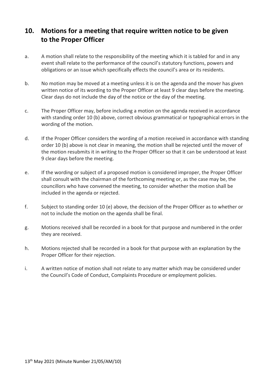# **10. Motions for a meeting that require written notice to be given to the Proper Officer**

- a. A motion shall relate to the responsibility of the meeting which it is tabled for and in any event shall relate to the performance of the council's statutory functions, powers and obligations or an issue which specifically effects the council's area or its residents.
- b. No motion may be moved at a meeting unless it is on the agenda and the mover has given written notice of its wording to the Proper Officer at least 9 clear days before the meeting. Clear days do not include the day of the notice or the day of the meeting.
- c. The Proper Officer may, before including a motion on the agenda received in accordance with standing order 10 (b) above, correct obvious grammatical or typographical errors in the wording of the motion.
- d. If the Proper Officer considers the wording of a motion received in accordance with standing order 10 (b) above is not clear in meaning, the motion shall be rejected until the mover of the motion resubmits it in writing to the Proper Officer so that it can be understood at least 9 clear days before the meeting.
- e. If the wording or subject of a proposed motion is considered improper, the Proper Officer shall consult with the chairman of the forthcoming meeting or, as the case may be, the councillors who have convened the meeting, to consider whether the motion shall be included in the agenda or rejected.
- f. Subject to standing order 10 (e) above, the decision of the Proper Officer as to whether or not to include the motion on the agenda shall be final.
- g. Motions received shall be recorded in a book for that purpose and numbered in the order they are received.
- h. Motions rejected shall be recorded in a book for that purpose with an explanation by the Proper Officer for their rejection.
- i. A written notice of motion shall not relate to any matter which may be considered under the Council's Code of Conduct, Complaints Procedure or employment policies.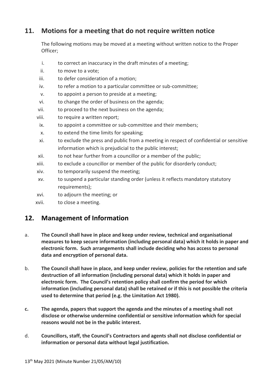# **11. Motions for a meeting that do not require written notice**

The following motions may be moved at a meeting without written notice to the Proper Officer;

- i. to correct an inaccuracy in the draft minutes of a meeting;
- ii. to move to a vote;
- iii. to defer consideration of a motion;
- iv. to refer a motion to a particular committee or sub-committee;
- v. to appoint a person to preside at a meeting;
- vi. to change the order of business on the agenda;
- vii. to proceed to the next business on the agenda;
- viii. to require a written report;
- ix. to appoint a committee or sub-committee and their members;
- x. to extend the time limits for speaking;
- xi. to exclude the press and public from a meeting in respect of confidential or sensitive information which is prejudicial to the public interest;
- xii. to not hear further from a councillor or a member of the public;
- xiii. to exclude a councillor or member of the public for disorderly conduct;
- xiv. to temporarily suspend the meeting;
- xv. to suspend a particular standing order (unless it reflects mandatory statutory requirements);
- xvi. to adjourn the meeting; or
- xvii. to close a meeting.

## **12. Management of Information**

- a. **The Council shall have in place and keep under review, technical and organisational measures to keep secure information (including personal data) which it holds in paper and electronic form. Such arrangements shall include deciding who has access to personal data and encryption of personal data.**
- b. **The Council shall have in place, and keep under review, policies for the retention and safe destruction of all information (including personal data) which it holds in paper and electronic form. The Council's retention policy shall confirm the period for which information (including personal data) shall be retained or if this is not possible the criteria used to determine that period (e.g. the Limitation Act 1980).**
- **c. The agenda, papers that support the agenda and the minutes of a meeting shall not disclose or otherwise undermine confidential or sensitive information which for special reasons would not be in the public interest.**
- d. **Councillors, staff, the Council's Contractors and agents shall not disclose confidential or information or personal data without legal justification.**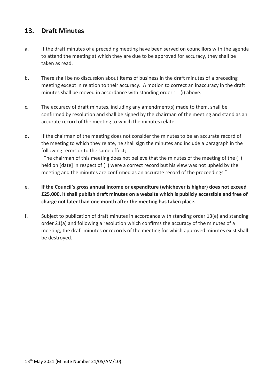# **13. Draft Minutes**

- a. If the draft minutes of a preceding meeting have been served on councillors with the agenda to attend the meeting at which they are due to be approved for accuracy, they shall be taken as read.
- b. There shall be no discussion about items of business in the draft minutes of a preceding meeting except in relation to their accuracy. A motion to correct an inaccuracy in the draft minutes shall be moved in accordance with standing order 11 (i) above.
- c. The accuracy of draft minutes, including any amendment(s) made to them, shall be confirmed by resolution and shall be signed by the chairman of the meeting and stand as an accurate record of the meeting to which the minutes relate.
- d. If the chairman of the meeting does not consider the minutes to be an accurate record of the meeting to which they relate, he shall sign the minutes and include a paragraph in the following terms or to the same effect;

"The chairman of this meeting does not believe that the minutes of the meeting of the  $( )$ held on [date] in respect of ( ) were a correct record but his view was not upheld by the meeting and the minutes are confirmed as an accurate record of the proceedings."

- e. **If the Council's gross annual income or expenditure (whichever is higher) does not exceed £25,000, it shall publish draft minutes on a website which is publicly accessible and free of charge not later than one month after the meeting has taken place.**
- f. Subject to publication of draft minutes in accordance with standing order 13(e) and standing order 21(a) and following a resolution which confirms the accuracy of the minutes of a meeting, the draft minutes or records of the meeting for which approved minutes exist shall be destroyed.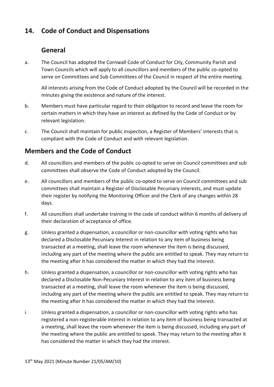# **14. Code of Conduct and Dispensations**

## **General**

a. The Council has adopted the Cornwall Code of Conduct for City, Community Parish and Town Councils which will apply to all councillors and members of the public co-opted to serve on Committees and Sub Committees of the Council in respect of the entire meeting.

All interests arising from the Code of Conduct adopted by the Council will be recorded in the minutes giving the existence and nature of the interest.

- b. Members must have particular regard to their obligation to record and leave the room for certain matters in which they have an interest as defined by the Code of Conduct or by relevant legislation.
- c. The Council shall maintain for public inspection, a Register of Members' interests that is compliant with the Code of Conduct and with relevant legislation.

# **Members and the Code of Conduct**

- d. All councillors and members of the public co-opted to serve on Council committees and sub committees shall observe the Code of Conduct adopted by the Council.
- e. All councillors and members of the public co-opted to serve on Council committees and sub committees shall maintain a Register of Disclosable Pecuniary interests, and must update their register by notifying the Monitoring Officer and the Clerk of any changes within 28 days.
- f. All councillors shall undertake training in the code of conduct within 6 months of delivery of their declaration of acceptance of office.
- g. Unless granted a dispensation, a councillor or non-councillor with voting rights who has declared a Disclosable Pecuniary Interest in relation to any item of business being transacted at a meeting, shall leave the room whenever the item is being discussed, including any part of the meeting where the public are entitled to speak. They may return to the meeting after it has considered the matter in which they had the interest.
- h. Unless granted a dispensation, a councillor or non-councillor with voting rights who has declared a Disclosable Non-Pecuniary Interest in relation to any item of business being transacted at a meeting, shall leave the room whenever the item is being discussed, including any part of the meeting where the public are entitled to speak. They may return to the meeting after it has considered the matter in which they had the interest.
- i. Unless granted a dispensation, a councillor or non-councillor with voting rights who has registered a non-registerable interest in relation to any item of business being transacted at a meeting, shall leave the room whenever the item is being discussed, including any part of the meeting where the public are entitled to speak. They may return to the meeting after it has considered the matter in which they had the interest.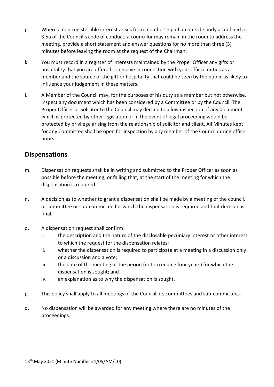- j. Where a non-registerable interest arises from membership of an outside body as defined in 3.5a of the Council's code of conduct, a councillor may remain in the room to address the meeting, provide a short statement and answer questions for no more than three (3) minutes before leaving the room at the request of the Chairman.
- k. You must record in a register of interests maintained by the Proper Officer any gifts or hospitality that you are offered or receive in connection with your official duties as a member and the source of the gift or hospitality that could be seen by the public as likely to influence your judgement in these matters.
- l. A Member of the Council may, for the purposes of his duty as a member but not otherwise, inspect any document which has been considered by a Committee or by the Council. The Proper Officer or Solicitor to the Council may decline to allow inspection of any document which is protected by other legislation or in the event of legal proceeding would be protected by privilege arising from the relationship of solicitor and client. All Minutes kept for any Committee shall be open for inspection by any member of the Council during office hours.

## **Dispensations**

- m. Dispensation requests shall be in writing and submitted to the Proper Officer as soon as possible before the meeting, or failing that, at the start of the meeting for which the dispensation is required.
- n. A decision as to whether to grant a dispensation shall be made by a meeting of the council, or committee or sub-committee for which the dispensation is required and that decision is final.
- o. A dispensation request shall confirm:
	- i. the description and the nature of the disclosable pecuniary interest or other interest to which the request for the dispensation relates;
	- ii. whether the dispensation is required to participate at a meeting in a discussion only or a discussion and a vote;
	- iii. the date of the meeting or the period (not exceeding four years) for which the dispensation is sought; and
	- iv. an explanation as to why the dispensation is sought.
- p. This policy shall apply to all meetings of the Council, its committees and sub-committees.
- q. No dispensation will be awarded for any meeting where there are no minutes of the proceedings.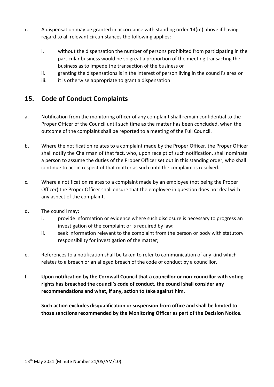- r. A dispensation may be granted in accordance with standing order 14(m) above if having regard to all relevant circumstances the following applies:
	- i. without the dispensation the number of persons prohibited from participating in the particular business would be so great a proportion of the meeting transacting the business as to impede the transaction of the business or
	- ii. granting the dispensations is in the interest of person living in the council's area or
	- iii. it is otherwise appropriate to grant a dispensation

## **15. Code of Conduct Complaints**

- a. Notification from the monitoring officer of any complaint shall remain confidential to the Proper Officer of the Council until such time as the matter has been concluded, when the outcome of the complaint shall be reported to a meeting of the Full Council.
- b. Where the notification relates to a complaint made by the Proper Officer, the Proper Officer shall notify the Chairman of that fact, who, upon receipt of such notification, shall nominate a person to assume the duties of the Proper Officer set out in this standing order, who shall continue to act in respect of that matter as such until the complaint is resolved.
- c. Where a notification relates to a complaint made by an employee (not being the Proper Officer) the Proper Officer shall ensure that the employee in question does not deal with any aspect of the complaint.
- d. The council may:
	- i. provide information or evidence where such disclosure is necessary to progress an investigation of the complaint or is required by law:
	- ii. seek information relevant to the complaint from the person or body with statutory responsibility for investigation of the matter;
- e. References to a notification shall be taken to refer to communication of any kind which relates to a breach or an alleged breach of the code of conduct by a councillor.
- f. **Upon notification by the Cornwall Council that a councillor or non-councillor with voting rights has breached the council's code of conduct, the council shall consider any recommendations and what, if any, action to take against him.**

**Such action excludes disqualification or suspension from office and shall be limited to those sanctions recommended by the Monitoring Officer as part of the Decision Notice.**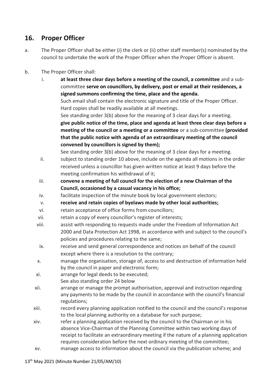# **16. Proper Officer**

- a. The Proper Officer shall be either (i) the clerk or (ii) other staff member(s) nominated by the council to undertake the work of the Proper Officer when the Proper Officer is absent.
- b. The Proper Officer shall:
	- i. **at least three clear days before a meeting of the council, a committee** and a subcommittee **serve on councillors, by delivery, post or email at their residences, a signed summons confirming the time, place and the agenda.**  Such email shall contain the electronic signature and title of the Proper Officer. Hard copies shall be readily available at all meetings. See standing order 3(b) above for the meaning of 3 clear days for a meeting. **give public notice of the time, place and agenda at least three clear days before a meeting of the council or a meeting or a committee** or a sub-committee **(provided that the public notice with agenda of an extraordinary meeting of the council convened by councillors is signed by them);** See standing order 3(b) above for the meaning of 3 clear days for a meeting.
	- ii. subject to standing order 10 above, include on the agenda all motions in the order received unless a councillor has given written notice at least 9 days before the meeting confirmation his withdrawal of it;
	- iii. **convene a meeting of full council for the election of a new Chairman of the Council, occasioned by a casual vacancy in his office;**
	- iv. facilitate inspection of the minute book by local government electors;
	- v. **receive and retain copies of byelaws made by other local authorities;**
	- vi. retain acceptance of office forms from councillors;
	- vii. retain a copy of every councillor's register of interests;
	- viii. assist with responding to requests made under the Freedom of Information Act 2000 and Data Protection Act 1998, in accordance with and subject to the council's policies and procedures relating to the same;
	- ix. receive and send general correspondence and notices on behalf of the council except where there is a resolution to the contrary;
	- x. manage the organisation, storage of, access to and destruction of information held by the council in paper and electronic form;
	- xi. arrange for legal deeds to be executed;
		- See also standing order 24 below
	- xii. arrange or manage the prompt authorisation, approval and instruction regarding any payments to be made by the council in accordance with the council's financial regulations;
	- xiii. record every planning application notified to the council and the council's response to the local planning authority on a database for such purpose;
	- xiv. refer a planning application received by the council to the Chairman or in his absence Vice-Chairman of the Planning Committee within two working days of receipt to facilitate an extraordinary meeting if the nature of a planning application requires consideration before the next ordinary meeting of the committee;
	- xv. manage access to information about the council via the publication scheme; and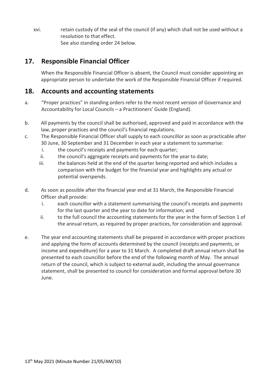xvi. retain custody of the seal of the council (if any) which shall not be used without a resolution to that effect. See also standing order 24 below.

# **17. Responsible Financial Officer**

When the Responsible Financial Officer is absent, the Council must consider appointing an appropriate person to undertake the work of the Responsible Financial Officer if required.

## **18. Accounts and accounting statements**

- a. "Proper practices" in standing orders refer to the most recent version of Governance and Accountability for Local Councils – a Practitioners' Guide (England).
- b. All payments by the council shall be authorised, approved and paid in accordance with the law, proper practices and the council's financial regulations.
- c. The Responsible Financial Officer shall supply to each councillor as soon as practicable after 30 June, 30 September and 31 December in each year a statement to summarise:
	- i. the council's receipts and payments for each quarter;
	- ii. the council's aggregate receipts and payments for the year to date;
	- iii. the balances held at the end of the quarter being reported and which includes a comparison with the budget for the financial year and highlights any actual or potential overspends.
- d. As soon as possible after the financial year end at 31 March, the Responsible Financial Officer shall provide:
	- i. each councillor with a statement summarising the council's receipts and payments for the last quarter and the year to date for information; and
	- ii. to the full council the accounting statements for the year in the form of Section 1 of the annual return, as required by proper practices, for consideration and approval.
- e. The year end accounting statements shall be prepared in accordance with proper practices and applying the form of accounts determined by the council (receipts and payments, or income and expenditure) for a year to 31 March. A completed draft annual return shall be presented to each councillor before the end of the following month of May. The annual return of the council, which is subject to external audit, including the annual governance statement, shall be presented to council for consideration and formal approval before 30 June.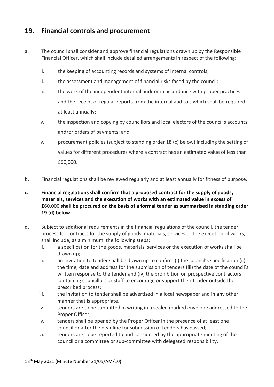## **19. Financial controls and procurement**

- a. The council shall consider and approve financial regulations drawn up by the Responsible Financial Officer, which shall include detailed arrangements in respect of the following:
	- i. the keeping of accounting records and systems of internal controls;
	- ii. the assessment and management of financial risks faced by the council;
	- iii. the work of the independent internal auditor in accordance with proper practices and the receipt of regular reports from the internal auditor, which shall be required at least annually;
	- iv. the inspection and copying by councillors and local electors of the council's accounts and/or orders of payments; and
	- v. procurement policies (subject to standing order 18 (c) below) including the setting of values for different procedures where a contract has an estimated value of less than £60,000.
- b. Financial regulations shall be reviewed regularly and at least annually for fitness of purpose.
- **c. Financial regulations shall confirm that a proposed contract for the supply of goods, materials, services and the execution of works with an estimated value in excess of £**60,000 **shall be procured on the basis of a formal tender as summarised in standing order 19 (d) below.**
- d. Subject to additional requirements in the financial regulations of the council, the tender process for contracts for the supply of goods, materials, services or the execution of works, shall include, as a minimum, the following steps;
	- i. a specification for the goods, materials, services or the execution of works shall be drawn up;
	- ii. an invitation to tender shall be drawn up to confirm (i) the council's specification (ii) the time, date and address for the submission of tenders (iii) the date of the council's written response to the tender and (iv) the prohibition on prospective contractors containing councillors or staff to encourage or support their tender outside the prescribed process;
	- iii. the invitation to tender shall be advertised in a local newspaper and in any other manner that is appropriate.
	- iv. tenders are to be submitted in writing in a sealed marked envelope addressed to the Proper Officer;
	- v. tenders shall be opened by the Proper Officer in the presence of at least one councillor after the deadline for submission of tenders has passed;
	- vi. tenders are to be reported to and considered by the appropriate meeting of the council or a committee or sub-committee with delegated responsibility.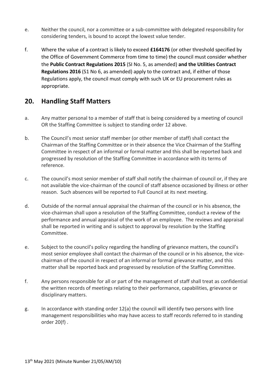- e. Neither the council, nor a committee or a sub-committee with delegated responsibility for considering tenders, is bound to accept the lowest value tender.
- f. Where the value of a contract is likely to exceed **£164176** (or other threshold specified by the Office of Government Commerce from time to time) the council must consider whether the **Public Contract Regulations 2015** (SI No. 5, as amended) **and the Utilities Contract Regulations 2016** (S1 No 6, as amended) apply to the contract and, if either of those Regulations apply, the council must comply with such UK or EU procurement rules as appropriate.

# **20. Handling Staff Matters**

- a. Any matter personal to a member of staff that is being considered by a meeting of council OR the Staffing Committee is subject to standing order 12 above.
- b. The Council's most senior staff member (or other member of staff) shall contact the Chairman of the Staffing Committee or in their absence the Vice Chairman of the Staffing Committee in respect of an informal or formal matter and this shall be reported back and progressed by resolution of the Staffing Committee in accordance with its terms of reference.
- c. The council's most senior member of staff shall notify the chairman of council or, if they are not available the vice-chairman of the council of staff absence occasioned by illness or other reason. Such absences will be reported to Full Council at its next meeting.
- d. Outside of the normal annual appraisal the chairman of the council or in his absence, the vice-chairman shall upon a resolution of the Staffing Committee, conduct a review of the performance and annual appraisal of the work of an employee. The reviews and appraisal shall be reported in writing and is subject to approval by resolution by the Staffing Committee.
- e. Subject to the council's policy regarding the handling of grievance matters, the council's most senior employee shall contact the chairman of the council or in his absence, the vicechairman of the council in respect of an informal or formal grievance matter, and this matter shall be reported back and progressed by resolution of the Staffing Committee.
- f. Any persons responsible for all or part of the management of staff shall treat as confidential the written records of meetings relating to their performance, capabilities, grievance or disciplinary matters.
- g. In accordance with standing order 12(a) the council will identify two persons with line management responsibilities who may have access to staff records referred to in standing order 20(f) .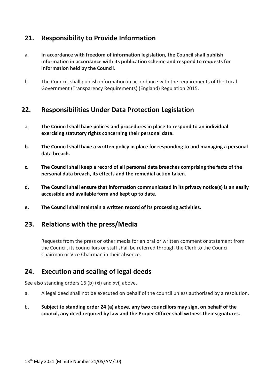## **21. Responsibility to Provide Information**

- a. **In accordance with freedom of information legislation, the Council shall publish information in accordance with its publication scheme and respond to requests for information held by the Council.**
- b. The Council, shall publish information in accordance with the requirements of the Local Government (Transparency Requirements) (England) Regulation 2015.

## **22. Responsibilities Under Data Protection Legislation**

- a. **The Council shall have polices and procedures in place to respond to an individual exercising statutory rights concerning their personal data.**
- **b. The Council shall have a written policy in place for responding to and managing a personal data breach.**
- **c. The Council shall keep a record of all personal data breaches comprising the facts of the personal data breach, its effects and the remedial action taken.**
- **d. The Council shall ensure that information communicated in its privacy notice(s) is an easily accessible and available form and kept up to date.**
- **e. The Council shall maintain a written record of its processing activities.**

## **23. Relations with the press/Media**

Requests from the press or other media for an oral or written comment or statement from the Council, its councillors or staff shall be referred through the Clerk to the Council Chairman or Vice Chairman in their absence.

## **24. Execution and sealing of legal deeds**

See also standing orders 16 (b) (xi) and xvi) above.

- a. A legal deed shall not be executed on behalf of the council unless authorised by a resolution.
- b. **Subject to standing order 24 (a) above, any two councillors may sign, on behalf of the council, any deed required by law and the Proper Officer shall witness their signatures.**